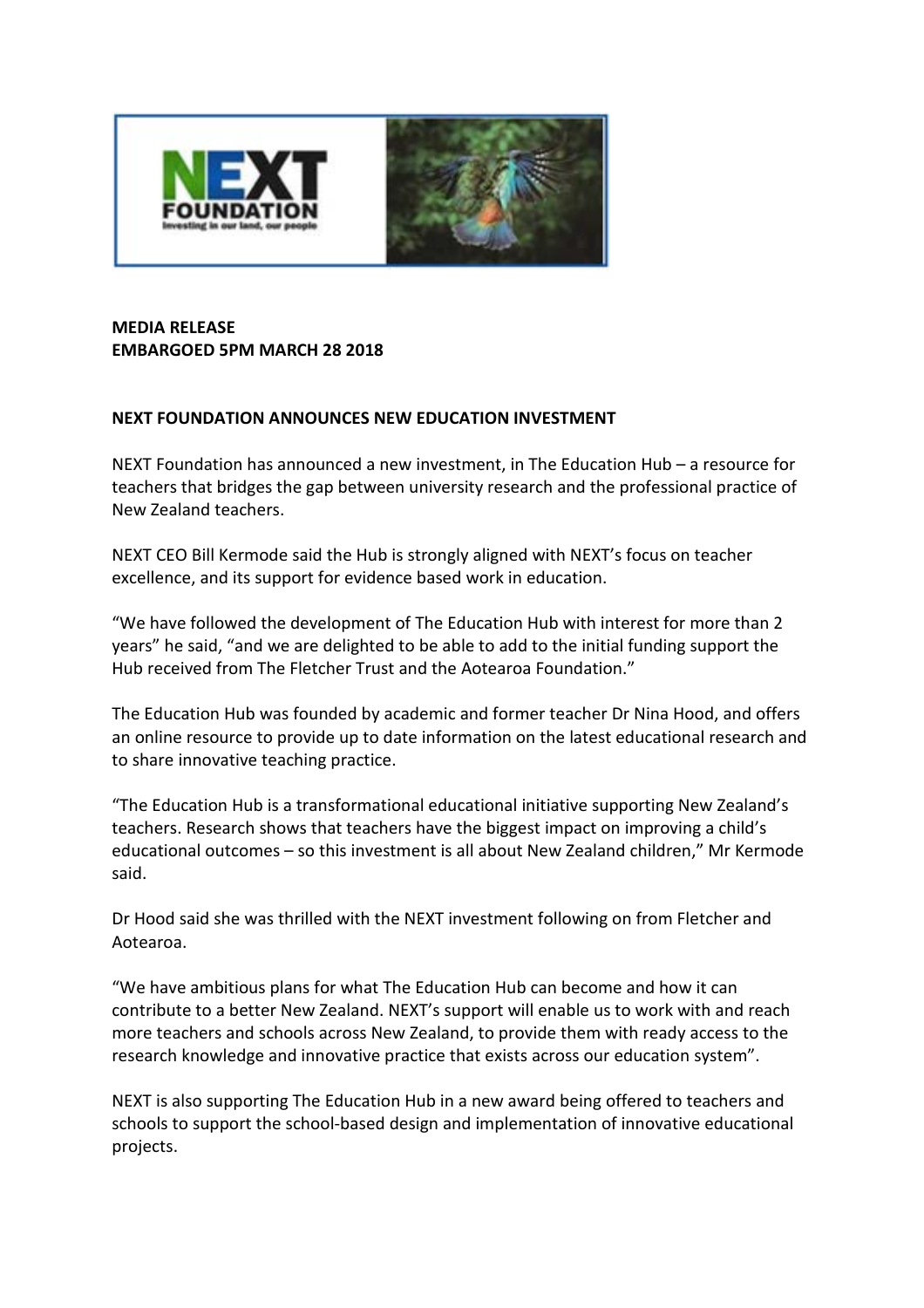

## **MEDIA RELEASE EMBARGOED 5PM MARCH 28 2018**

## **NEXT FOUNDATION ANNOUNCES NEW EDUCATION INVESTMENT**

NEXT Foundation has announced a new investment, in The Education Hub – a resource for teachers that bridges the gap between university research and the professional practice of New Zealand teachers.

NEXT CEO Bill Kermode said the Hub is strongly aligned with NEXT's focus on teacher excellence, and its support for evidence based work in education.

"We have followed the development of The Education Hub with interest for more than 2 years" he said, "and we are delighted to be able to add to the initial funding support the Hub received from The Fletcher Trust and the Aotearoa Foundation."

The Education Hub was founded by academic and former teacher Dr Nina Hood, and offers an online resource to provide up to date information on the latest educational research and to share innovative teaching practice.

"The Education Hub is a transformational educational initiative supporting New Zealand's teachers. Research shows that teachers have the biggest impact on improving a child's educational outcomes – so this investment is all about New Zealand children," Mr Kermode said.

Dr Hood said she was thrilled with the NEXT investment following on from Fletcher and Aotearoa.

"We have ambitious plans for what The Education Hub can become and how it can contribute to a better New Zealand. NEXT's support will enable us to work with and reach more teachers and schools across New Zealand, to provide them with ready access to the research knowledge and innovative practice that exists across our education system".

NEXT is also supporting The Education Hub in a new award being offered to teachers and schools to support the school-based design and implementation of innovative educational projects.